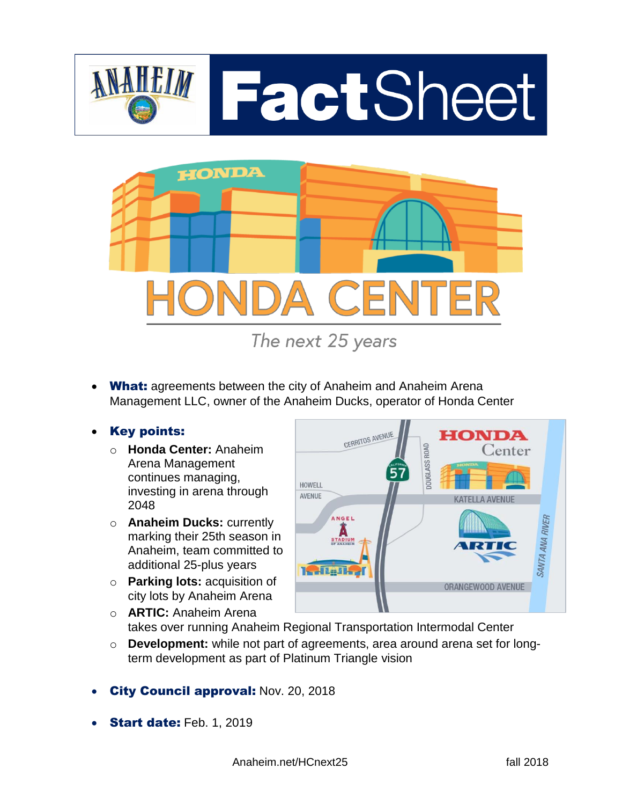



**What:** agreements between the city of Anaheim and Anaheim Arena Management LLC, owner of the Anaheim Ducks, operator of Honda Center

### Key points:

- o **Honda Center:** Anaheim Arena Management continues managing, investing in arena through 2048
- o **Anaheim Ducks:** currently marking their 25th season in Anaheim, team committed to additional 25-plus years
- o **Parking lots:** acquisition of city lots by Anaheim Arena



- o **ARTIC:** Anaheim Arena takes over running Anaheim Regional Transportation Intermodal Center
- o **Development:** while not part of agreements, area around arena set for longterm development as part of Platinum Triangle vision
- City Council approval: Nov. 20, 2018
- **Start date: Feb. 1, 2019** 
	- Anaheim.net/HCnext25 fall 2018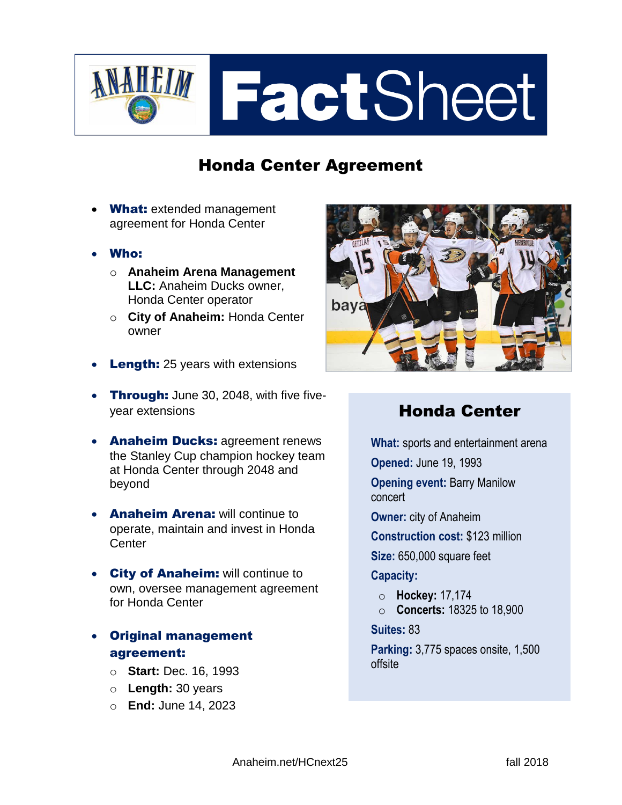

## Honda Center Agreement

- What: extended management agreement for Honda Center
- Who:
	- o **Anaheim Arena Management LLC:** Anaheim Ducks owner, Honda Center operator
	- o **City of Anaheim:** Honda Center owner
- Length: 25 years with extensions
- Through: June 30, 2048, with five fiveyear extensions
- Anaheim Ducks: agreement renews the Stanley Cup champion hockey team at Honda Center through 2048 and beyond
- **Anaheim Arena: will continue to** operate, maintain and invest in Honda **Center**
- **City of Anaheim:** will continue to own, oversee management agreement for Honda Center
- Original management agreement:
	- o **Start:** Dec. 16, 1993
	- o **Length:** 30 years
	- o **End:** June 14, 2023



## Honda Center

**What:** sports and entertainment arena

**Opened:** June 19, 1993

**Opening event:** Barry Manilow concert

**Owner:** city of Anaheim

**Construction cost:** \$123 million

**Size:** 650,000 square feet

#### **Capacity:**

- o **Hockey:** 17,174
- o **Concerts:** 18325 to 18,900

#### **Suites:** 83

**Parking:** 3,775 spaces onsite, 1,500 offsite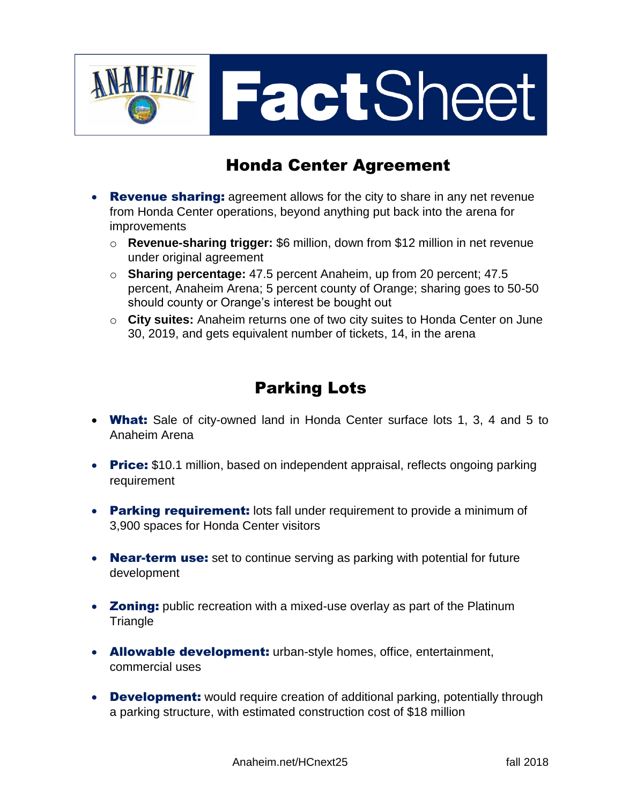

## Honda Center Agreement

- Revenue sharing: agreement allows for the city to share in any net revenue from Honda Center operations, beyond anything put back into the arena for improvements
	- o **Revenue-sharing trigger:** \$6 million, down from \$12 million in net revenue under original agreement
	- o **Sharing percentage:** 47.5 percent Anaheim, up from 20 percent; 47.5 percent, Anaheim Arena; 5 percent county of Orange; sharing goes to 50-50 should county or Orange's interest be bought out
	- o **City suites:** Anaheim returns one of two city suites to Honda Center on June 30, 2019, and gets equivalent number of tickets, 14, in the arena

## Parking Lots

- What: Sale of city-owned land in Honda Center surface lots 1, 3, 4 and 5 to Anaheim Arena
- Price: \$10.1 million, based on independent appraisal, reflects ongoing parking requirement
- Parking requirement: lots fall under requirement to provide a minimum of 3,900 spaces for Honda Center visitors
- **Near-term use:** set to continue serving as parking with potential for future development
- Zoning: public recreation with a mixed-use overlay as part of the Platinum **Triangle**
- Allowable development: urban-style homes, office, entertainment, commercial uses
- Development: would require creation of additional parking, potentially through a parking structure, with estimated construction cost of \$18 million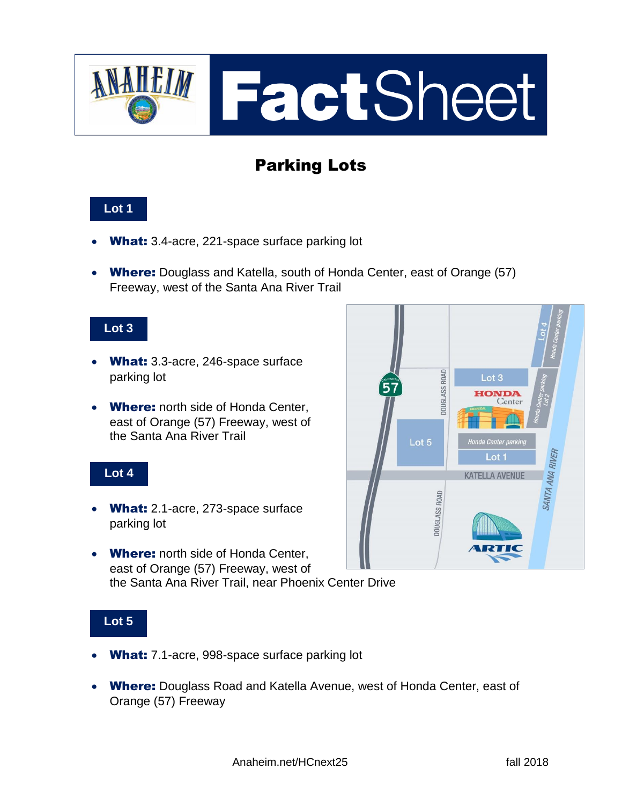

# Parking Lots

### **Lot 1**

- What: 3.4-acre, 221-space surface parking lot
- Where: Douglass and Katella, south of Honda Center, east of Orange (57) Freeway, west of the Santa Ana River Trail

#### **Lot 3**

- What: 3.3-acre, 246-space surface parking lot
- Where: north side of Honda Center, east of Orange (57) Freeway, west of the Santa Ana River Trail

#### **Lot 4**

- What: 2.1-acre, 273-space surface parking lot
- Where: north side of Honda Center, east of Orange (57) Freeway, west of the Santa Ana River Trail, near Phoenix Center Drive

### **Lot 5**

- What: 7.1-acre, 998-space surface parking lot
- Where: Douglass Road and Katella Avenue, west of Honda Center, east of Orange (57) Freeway

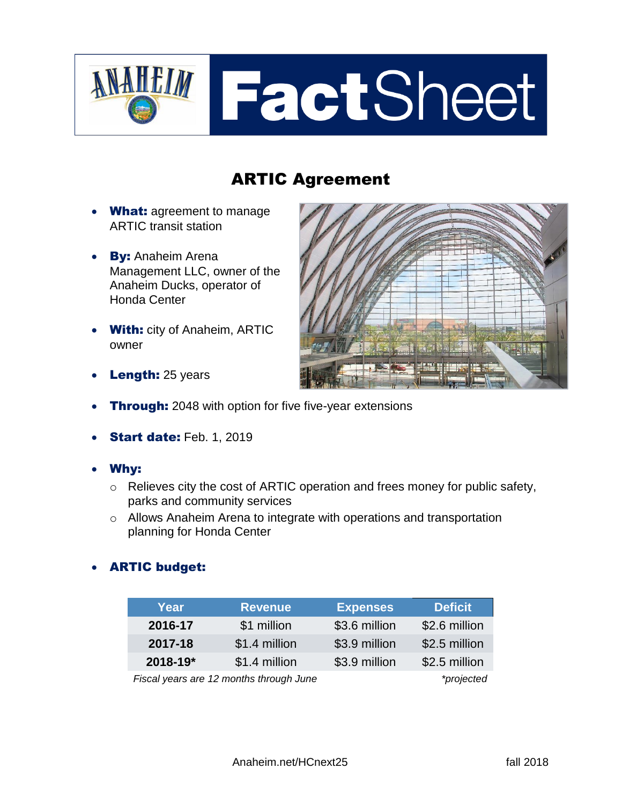

# ARTIC Agreement

- What: agreement to manage ARTIC transit station
- By: Anaheim Arena Management LLC, owner of the Anaheim Ducks, operator of Honda Center
- With: city of Anaheim, ARTIC owner



- Length: 25 years
- **Through:** 2048 with option for five five-year extensions
- Start date: Feb. 1, 2019
- Why:
	- o Relieves city the cost of ARTIC operation and frees money for public safety, parks and community services
	- o Allows Anaheim Arena to integrate with operations and transportation planning for Honda Center

### ARTIC budget:

| Year                                    | <b>Revenue</b> | <b>Expenses</b> | <b>Deficit</b> |
|-----------------------------------------|----------------|-----------------|----------------|
| 2016-17                                 | \$1 million    | \$3.6 million   | \$2.6 million  |
| 2017-18                                 | \$1.4 million  | \$3.9 million   | \$2.5 million  |
| 2018-19*                                | \$1.4 million  | \$3.9 million   | \$2.5 million  |
| Fiscal years are 12 months through June |                |                 | *projected     |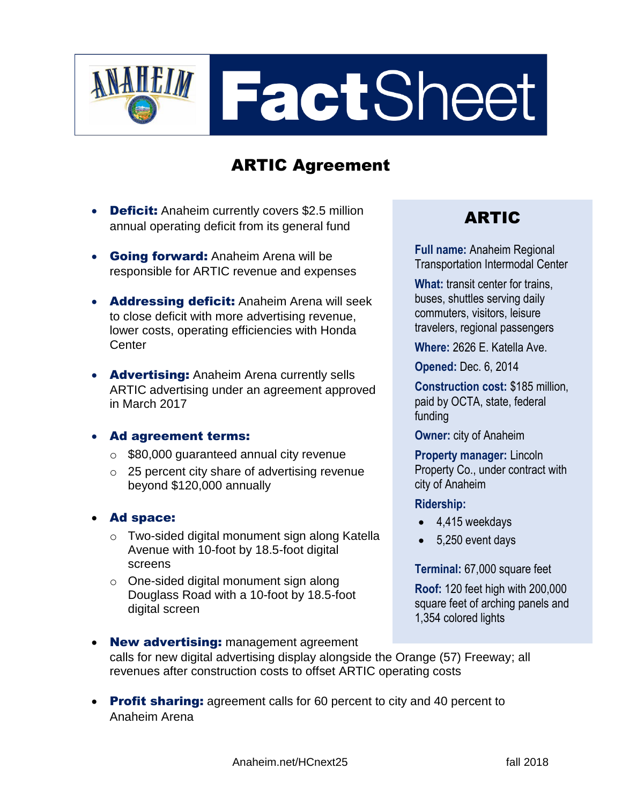

# ARTIC Agreement

- Deficit: Anaheim currently covers \$2.5 million annual operating deficit from its general fund
- **Going forward:** Anaheim Arena will be responsible for ARTIC revenue and expenses
- Addressing deficit: Anaheim Arena will seek to close deficit with more advertising revenue, lower costs, operating efficiencies with Honda Center
- **Advertising:** Anaheim Arena currently sells ARTIC advertising under an agreement approved in March 2017

### Ad agreement terms:

- o \$80,000 guaranteed annual city revenue
- o 25 percent city share of advertising revenue beyond \$120,000 annually
- Ad space:
	- o Two-sided digital monument sign along Katella Avenue with 10-foot by 18.5-foot digital screens
	- o One-sided digital monument sign along Douglass Road with a 10-foot by 18.5-foot digital screen

### ARTIC

**Full name:** Anaheim Regional Transportation Intermodal Center

**What:** transit center for trains, buses, shuttles serving daily commuters, visitors, leisure travelers, regional passengers

**Where:** 2626 E. Katella Ave.

**Opened:** Dec. 6, 2014

**Construction cost:** \$185 million, paid by OCTA, state, federal funding

**Owner:** city of Anaheim

**Property manager:** Lincoln Property Co., under contract with city of Anaheim

### **Ridership:**

- $-4.415$  weekdays
- 5,250 event days

### **Terminal:** 67,000 square feet

**Roof:** 120 feet high with 200,000 square feet of arching panels and 1,354 colored lights

- New advertising: management agreement calls for new digital advertising display alongside the Orange (57) Freeway; all revenues after construction costs to offset ARTIC operating costs
- Profit sharing: agreement calls for 60 percent to city and 40 percent to Anaheim Arena